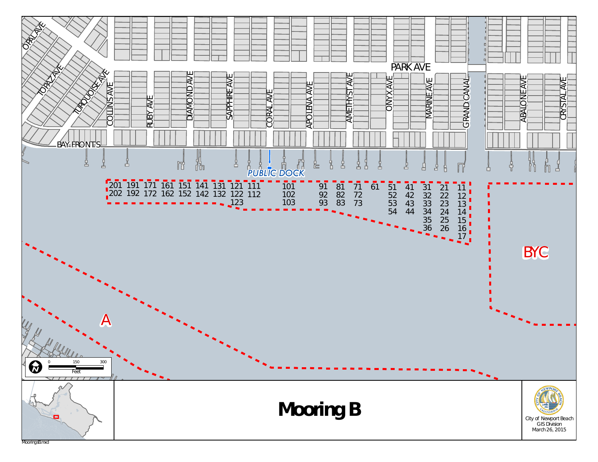